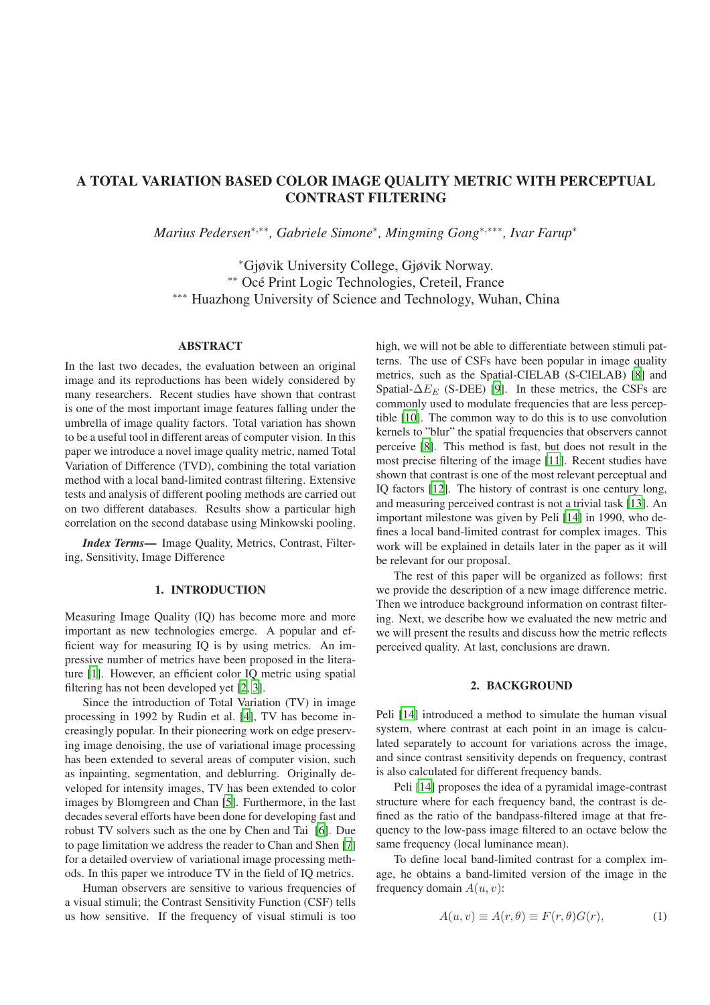# **A TOTAL VARIATION BASED COLOR IMAGE QUALITY METRIC WITH PERCEPTUAL CONTRAST FILTERING**

*Marius Pedersen*<sup>∗</sup>,∗∗*, Gabriele Simone*<sup>∗</sup> *, Mingming Gong*<sup>∗</sup>,∗∗∗*, Ivar Farup*<sup>∗</sup>

<sup>∗</sup>Gjøvik University College, Gjøvik Norway. ∗∗ Oce Print Logic Technologies, Creteil, France ´ ∗∗∗ Huazhong University of Science and Technology, Wuhan, China

### **ABSTRACT**

In the last two decades, the evaluation between an original image and its reproductions has been widely considered by many researchers. Recent studies have shown that contrast is one of the most important image features falling under the umbrella of image quality factors. Total variation has shown to be a useful tool in different areas of computer vision. In this paper we introduce a novel image quality metric, named Total Variation of Difference (TVD), combining the total variation method with a local band-limited contrast filtering. Extensive tests and analysis of different pooling methods are carried out on two different databases. Results show a particular high correlation on the second database using Minkowski pooling.

*Index Terms***—** Image Quality, Metrics, Contrast, Filtering, Sensitivity, Image Difference

#### **1. INTRODUCTION**

Measuring Image Quality (IQ) has become more and more important as new technologies emerge. A popular and efficient way for measuring IQ is by using metrics. An impressive number of metrics have been proposed in the literature [\[1](#page-3-0)]. However, an efficient color IQ metric using spatial filtering has not been developed yet [\[2,](#page-3-1) [3\]](#page-3-2).

Since the introduction of Total Variation (TV) in image processing in 1992 by Rudin et al. [\[4](#page-3-3)], TV has become increasingly popular. In their pioneering work on edge preserving image denoising, the use of variational image processing has been extended to several areas of computer vision, such as inpainting, segmentation, and deblurring. Originally developed for intensity images, TV has been extended to color images by Blomgreen and Chan [\[5](#page-3-4)]. Furthermore, in the last decades several efforts have been done for developing fast and robust TV solvers such as the one by Chen and Tai [\[6](#page-3-5)]. Due to page limitation we address the reader to Chan and Shen [\[7\]](#page-3-6) for a detailed overview of variational image processing methods. In this paper we introduce TV in the field of IQ metrics.

Human observers are sensitive to various frequencies of a visual stimuli; the Contrast Sensitivity Function (CSF) tells us how sensitive. If the frequency of visual stimuli is too

high, we will not be able to differentiate between stimuli patterns. The use of CSFs have been popular in image quality metrics, such as the Spatial-CIELAB (S-CIELAB) [\[8](#page-3-7)] and Spatial- $\Delta E_E$  (S-DEE) [\[9\]](#page-3-8). In these metrics, the CSFs are commonly used to modulate frequencies that are less perceptible [\[10](#page-3-9)]. The common way to do this is to use convolution kernels to "blur" the spatial frequencies that observers cannot perceive [\[8](#page-3-7)]. This method is fast, but does not result in the most precise filtering of the image [\[11\]](#page-3-10). Recent studies have shown that contrast is one of the most relevant perceptual and IQ factors [\[12](#page-3-11)]. The history of contrast is one century long, and measuring perceived contrast is not a trivial task [\[13](#page-3-12)]. An important milestone was given by Peli [\[14\]](#page-3-13) in 1990, who defines a local band-limited contrast for complex images. This work will be explained in details later in the paper as it will be relevant for our proposal.

The rest of this paper will be organized as follows: first we provide the description of a new image difference metric. Then we introduce background information on contrast filtering. Next, we describe how we evaluated the new metric and we will present the results and discuss how the metric reflects perceived quality. At last, conclusions are drawn.

#### **2. BACKGROUND**

<span id="page-0-0"></span>Peli [\[14](#page-3-13)] introduced a method to simulate the human visual system, where contrast at each point in an image is calculated separately to account for variations across the image, and since contrast sensitivity depends on frequency, contrast is also calculated for different frequency bands.

Peli [\[14](#page-3-13)] proposes the idea of a pyramidal image-contrast structure where for each frequency band, the contrast is defined as the ratio of the bandpass-filtered image at that frequency to the low-pass image filtered to an octave below the same frequency (local luminance mean).

To define local band-limited contrast for a complex image, he obtains a band-limited version of the image in the frequency domain  $A(u, v)$ :

$$
A(u, v) \equiv A(r, \theta) \equiv F(r, \theta)G(r), \tag{1}
$$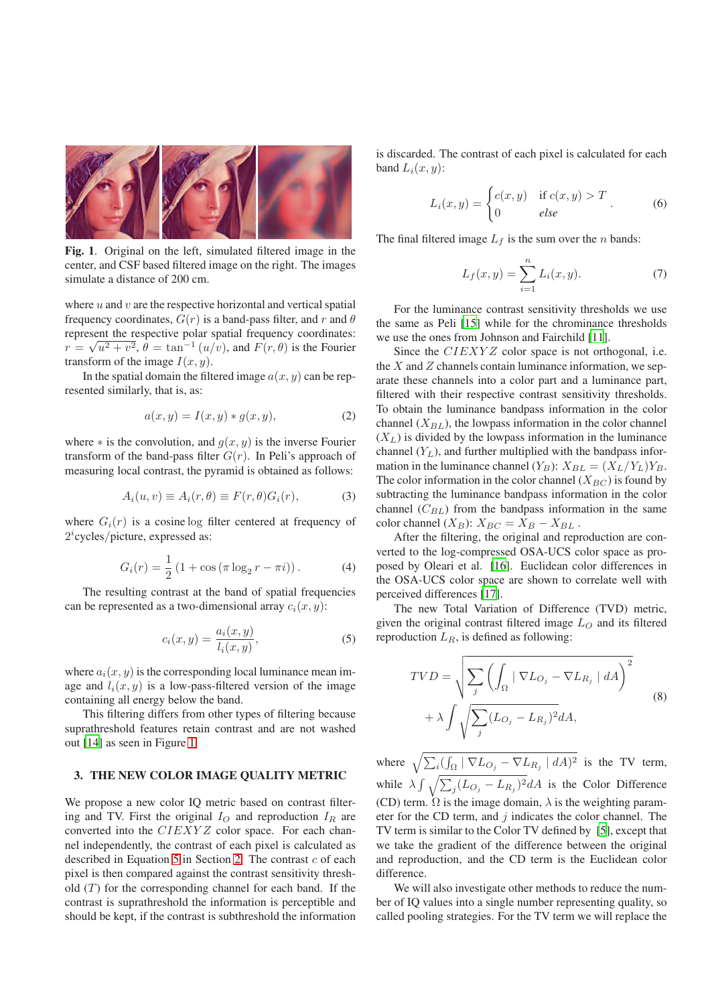

**Fig. 1**. Original on the left, simulated filtered image in the center, and CSF based filtered image on the right. The images simulate a distance of 200 cm.

<span id="page-1-0"></span>where  $u$  and  $v$  are the respective horizontal and vertical spatial frequency coordinates,  $G(r)$  is a band-pass filter, and r and  $\theta$ represent the respective polar spatial frequency coordinates:  $r = \sqrt{u^2 + v^2}$ ,  $\theta = \tan^{-1}(u/v)$ , and  $F(r, \theta)$  is the Fourier transform of the image  $I(x, y)$ .

In the spatial domain the filtered image  $a(x, y)$  can be represented similarly, that is, as:

$$
a(x,y) = I(x,y) * g(x,y), \tag{2}
$$

where  $*$  is the convolution, and  $q(x, y)$  is the inverse Fourier transform of the band-pass filter  $G(r)$ . In Peli's approach of measuring local contrast, the pyramid is obtained as follows:

$$
A_i(u, v) \equiv A_i(r, \theta) \equiv F(r, \theta) G_i(r), \tag{3}
$$

where  $G_i(r)$  is a cosine log filter centered at frequency of 2 i cycles/picture, expressed as:

$$
G_i(r) = \frac{1}{2} (1 + \cos(\pi \log_2 r - \pi i)).
$$
 (4)

The resulting contrast at the band of spatial frequencies can be represented as a two-dimensional array  $c_i(x, y)$ :

<span id="page-1-1"></span>
$$
c_i(x,y) = \frac{a_i(x,y)}{l_i(x,y)},\tag{5}
$$

where  $a_i(x, y)$  is the corresponding local luminance mean image and  $l_i(x, y)$  is a low-pass-filtered version of the image containing all energy below the band.

This filtering differs from other types of filtering because suprathreshold features retain contrast and are not washed out [\[14\]](#page-3-13) as seen in Figure [1.](#page-1-0)

## **3. THE NEW COLOR IMAGE QUALITY METRIC**

We propose a new color IQ metric based on contrast filtering and TV. First the original  $I<sub>O</sub>$  and reproduction  $I<sub>R</sub>$  are converted into the CIEXYZ color space. For each channel independently, the contrast of each pixel is calculated as described in Equation [5](#page-1-1) in Section [2.](#page-0-0) The contrast  $c$  of each pixel is then compared against the contrast sensitivity threshold  $(T)$  for the corresponding channel for each band. If the contrast is suprathreshold the information is perceptible and should be kept, if the contrast is subthreshold the information

is discarded. The contrast of each pixel is calculated for each band  $L_i(x, y)$ :

$$
L_i(x, y) = \begin{cases} c(x, y) & \text{if } c(x, y) > T \\ 0 & \text{else} \end{cases}
$$
 (6)

The final filtered image  $L_f$  is the sum over the *n* bands:

$$
L_f(x, y) = \sum_{i=1}^{n} L_i(x, y).
$$
 (7)

For the luminance contrast sensitivity thresholds we use the same as Peli [\[15](#page-3-14)] while for the chrominance thresholds we use the ones from Johnson and Fairchild [\[11\]](#page-3-10).

Since the CIEXYZ color space is not orthogonal, i.e. the  $X$  and  $Z$  channels contain luminance information, we separate these channels into a color part and a luminance part, filtered with their respective contrast sensitivity thresholds. To obtain the luminance bandpass information in the color channel  $(X_{BL})$ , the lowpass information in the color channel  $(X_L)$  is divided by the lowpass information in the luminance channel  $(Y_L)$ , and further multiplied with the bandpass information in the luminance channel  $(Y_B)$ :  $X_{BL} = (X_L/Y_L)Y_B$ . The color information in the color channel  $(X_{BC})$  is found by subtracting the luminance bandpass information in the color channel  $(C_{BL})$  from the bandpass information in the same color channel  $(X_B)$ :  $X_{BC} = X_B - X_{BL}$ .

After the filtering, the original and reproduction are converted to the log-compressed OSA-UCS color space as proposed by Oleari et al. [\[16](#page-3-15)]. Euclidean color differences in the OSA-UCS color space are shown to correlate well with perceived differences [\[17\]](#page-3-16).

The new Total Variation of Difference (TVD) metric, given the original contrast filtered image  $L<sub>O</sub>$  and its filtered reproduction  $L_R$ , is defined as following:

<span id="page-1-2"></span>
$$
TVD = \sqrt{\sum_{j} \left( \int_{\Omega} |\nabla L_{O_j} - \nabla L_{R_j}| dA \right)^2 + \lambda \int \sqrt{\sum_{j} (L_{O_j} - L_{R_j})^2} dA},
$$
\n(8)

where  $\sqrt{\sum_i (\int_{\Omega} |\nabla L_{O_j} - \nabla L_{R_j}| dA)^2}$  is the TV term, while  $\lambda \int \sqrt{\sum_j (L_{O_j} - L_{R_j})^2} dA$  is the Color Difference (CD) term.  $\Omega$  is the image domain,  $\lambda$  is the weighting parameter for the CD term, and  $j$  indicates the color channel. The TV term is similar to the Color TV defined by [\[5](#page-3-4)], except that we take the gradient of the difference between the original and reproduction, and the CD term is the Euclidean color difference.

We will also investigate other methods to reduce the number of IQ values into a single number representing quality, so called pooling strategies. For the TV term we will replace the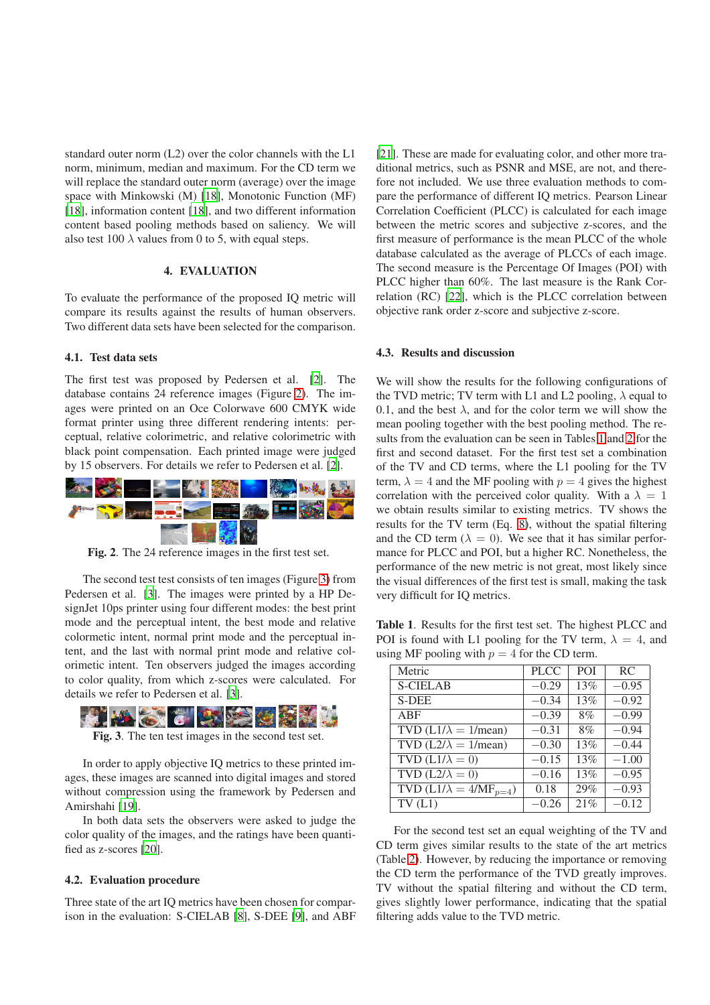standard outer norm (L2) over the color channels with the L1 norm, minimum, median and maximum. For the CD term we will replace the standard outer norm (average) over the image space with Minkowski (M) [\[18\]](#page-3-17), Monotonic Function (MF) [\[18\]](#page-3-17), information content [\[18](#page-3-17)], and two different information content based pooling methods based on saliency. We will also test 100  $\lambda$  values from 0 to 5, with equal steps.

### **4. EVALUATION**

To evaluate the performance of the proposed IQ metric will compare its results against the results of human observers. Two different data sets have been selected for the comparison.

#### **4.1. Test data sets**

The first test was proposed by Pedersen et al. [\[2\]](#page-3-1). The database contains 24 reference images (Figure [2\)](#page-2-0). The images were printed on an Oce Colorwave 600 CMYK wide format printer using three different rendering intents: perceptual, relative colorimetric, and relative colorimetric with black point compensation. Each printed image were judged by 15 observers. For details we refer to Pedersen et al. [\[2\]](#page-3-1).



<span id="page-2-0"></span>**Fig. 2**. The 24 reference images in the first test set.

The second test test consists of ten images (Figure [3\)](#page-2-1) from Pedersen et al. [\[3\]](#page-3-2). The images were printed by a HP DesignJet 10ps printer using four different modes: the best print mode and the perceptual intent, the best mode and relative colormetic intent, normal print mode and the perceptual intent, and the last with normal print mode and relative colorimetic intent. Ten observers judged the images according to color quality, from which z-scores were calculated. For details we refer to Pedersen et al. [\[3\]](#page-3-2).



<span id="page-2-1"></span>**Fig. 3**. The ten test images in the second test set.

In order to apply objective IQ metrics to these printed images, these images are scanned into digital images and stored without compression using the framework by Pedersen and Amirshahi [\[19](#page-3-18)].

In both data sets the observers were asked to judge the color quality of the images, and the ratings have been quantified as z-scores [\[20](#page-3-19)].

#### **4.2. Evaluation procedure**

Three state of the art IQ metrics have been chosen for comparison in the evaluation: S-CIELAB [\[8](#page-3-7)], S-DEE [\[9](#page-3-8)], and ABF

[\[21](#page-3-20)]. These are made for evaluating color, and other more traditional metrics, such as PSNR and MSE, are not, and therefore not included. We use three evaluation methods to compare the performance of different IQ metrics. Pearson Linear Correlation Coefficient (PLCC) is calculated for each image between the metric scores and subjective z-scores, and the first measure of performance is the mean PLCC of the whole database calculated as the average of PLCCs of each image. The second measure is the Percentage Of Images (POI) with PLCC higher than 60%. The last measure is the Rank Correlation (RC) [\[22](#page-3-21)], which is the PLCC correlation between objective rank order z-score and subjective z-score.

#### **4.3. Results and discussion**

We will show the results for the following configurations of the TVD metric; TV term with L1 and L2 pooling,  $\lambda$  equal to 0.1, and the best  $\lambda$ , and for the color term we will show the mean pooling together with the best pooling method. The results from the evaluation can be seen in Tables [1](#page-2-2) and [2](#page-3-22) for the first and second dataset. For the first test set a combination of the TV and CD terms, where the L1 pooling for the TV term,  $\lambda = 4$  and the MF pooling with  $p = 4$  gives the highest correlation with the perceived color quality. With a  $\lambda = 1$ we obtain results similar to existing metrics. TV shows the results for the TV term (Eq. [8\)](#page-1-2), without the spatial filtering and the CD term ( $\lambda = 0$ ). We see that it has similar performance for PLCC and POI, but a higher RC. Nonetheless, the performance of the new metric is not great, most likely since the visual differences of the first test is small, making the task very difficult for IQ metrics.

**Table 1**. Results for the first test set. The highest PLCC and POI is found with L1 pooling for the TV term,  $\lambda = 4$ , and using MF pooling with  $p = 4$  for the CD term.

<span id="page-2-2"></span>

| Metric                          | <b>PLCC</b> | <b>POI</b> | RC      |
|---------------------------------|-------------|------------|---------|
| <b>S-CIELAB</b>                 | $-0.29$     | 13%        | $-0.95$ |
| <b>S-DEE</b>                    | $-0.34$     | 13%        | $-0.92$ |
| ABF                             | $-0.39$     | 8%         | $-0.99$ |
| TVD ( $L1/\lambda = 1/mean$ )   | $-0.31$     | 8%         | $-0.94$ |
| TVD ( $L2/\lambda = 1/mean$ )   | $-0.30$     | 13%        | $-0.44$ |
| TVD $(L1/\lambda = 0)$          | $-0.15$     | 13%        | $-1.00$ |
| TVD $(L2/\lambda = 0)$          | $-0.16$     | 13%        | $-0.95$ |
| TVD $(L1/\lambda = 4/MF_{p=4})$ | 0.18        | 29%        | $-0.93$ |
| TV(L1)                          | $-0.26$     | 21%        | $-0.12$ |

For the second test set an equal weighting of the TV and CD term gives similar results to the state of the art metrics (Table [2\)](#page-3-22). However, by reducing the importance or removing the CD term the performance of the TVD greatly improves. TV without the spatial filtering and without the CD term, gives slightly lower performance, indicating that the spatial filtering adds value to the TVD metric.